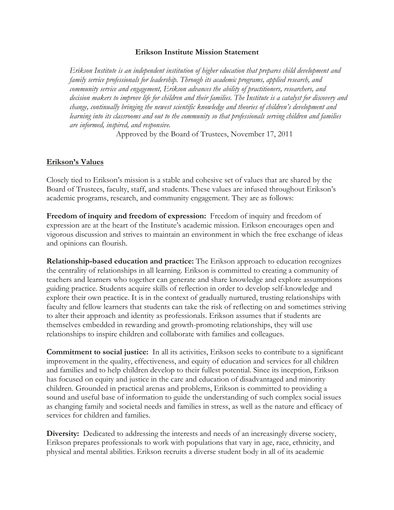## **Erikson Institute Mission Statement**

*Erikson Institute is an independent institution of higher education that prepares child development and family service professionals for leadership. Through its academic programs, applied research, and community service and engagement, Erikson advances the ability of practitioners, researchers, and decision makers to improve life for children and their families. The Institute is a catalyst for discovery and change, continually bringing the newest scientific knowledge and theories of children's development and learning into its classrooms and out to the community so that professionals serving children and families are informed, inspired, and responsive.* 

Approved by the Board of Trustees, November 17, 2011

## **Erikson's Values**

Closely tied to Erikson's mission is a stable and cohesive set of values that are shared by the Board of Trustees, faculty, staff, and students. These values are infused throughout Erikson's academic programs, research, and community engagement. They are as follows:

**Freedom of inquiry and freedom of expression:** Freedom of inquiry and freedom of expression are at the heart of the Institute's academic mission. Erikson encourages open and vigorous discussion and strives to maintain an environment in which the free exchange of ideas and opinions can flourish.

**Relationship-based education and practice:** The Erikson approach to education recognizes the centrality of relationships in all learning. Erikson is committed to creating a community of teachers and learners who together can generate and share knowledge and explore assumptions guiding practice. Students acquire skills of reflection in order to develop self-knowledge and explore their own practice. It is in the context of gradually nurtured, trusting relationships with faculty and fellow learners that students can take the risk of reflecting on and sometimes striving to alter their approach and identity as professionals. Erikson assumes that if students are themselves embedded in rewarding and growth-promoting relationships, they will use relationships to inspire children and collaborate with families and colleagues.

**Commitment to social justice:** In all its activities, Erikson seeks to contribute to a significant improvement in the quality, effectiveness, and equity of education and services for all children and families and to help children develop to their fullest potential. Since its inception, Erikson has focused on equity and justice in the care and education of disadvantaged and minority children. Grounded in practical arenas and problems, Erikson is committed to providing a sound and useful base of information to guide the understanding of such complex social issues as changing family and societal needs and families in stress, as well as the nature and efficacy of services for children and families.

**Diversity:** Dedicated to addressing the interests and needs of an increasingly diverse society, Erikson prepares professionals to work with populations that vary in age, race, ethnicity, and physical and mental abilities. Erikson recruits a diverse student body in all of its academic